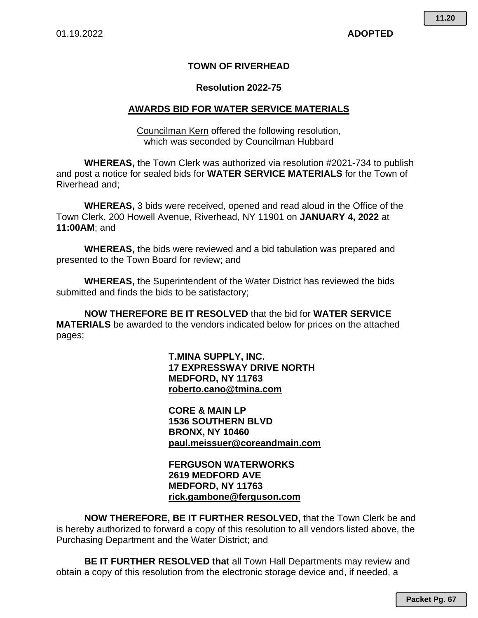## **TOWN OF RIVERHEAD**

### **Resolution 2022-75**

### **AWARDS BID FOR WATER SERVICE MATERIALS**

Councilman Kern offered the following resolution, which was seconded by Councilman Hubbard

**WHEREAS,** the Town Clerk was authorized via resolution #2021-734 to publish and post a notice for sealed bids for **WATER SERVICE MATERIALS** for the Town of Riverhead and;

**WHEREAS,** 3 bids were received, opened and read aloud in the Office of the Town Clerk, 200 Howell Avenue, Riverhead, NY 11901 on **JANUARY 4, 2022** at **11:00AM**; and

**WHEREAS,** the bids were reviewed and a bid tabulation was prepared and presented to the Town Board for review; and

**WHEREAS,** the Superintendent of the Water District has reviewed the bids submitted and finds the bids to be satisfactory;

**NOW THEREFORE BE IT RESOLVED** that the bid for **WATER SERVICE MATERIALS** be awarded to the vendors indicated below for prices on the attached pages;

> **T.MINA SUPPLY, INC. 17 EXPRESSWAY DRIVE NORTH MEDFORD, NY 11763 roberto.cano@tmina.com**

**CORE & MAIN LP 1536 SOUTHERN BLVD BRONX, NY 10460 paul.meissuer@coreandmain.com** 

### **FERGUSON WATERWORKS 2619 MEDFORD AVE MEDFORD, NY 11763 rick.gambone@ferguson.com**

**NOW THEREFORE, BE IT FURTHER RESOLVED,** that the Town Clerk be and is hereby authorized to forward a copy of this resolution to all vendors listed above, the Purchasing Department and the Water District; and

**BE IT FURTHER RESOLVED that** all Town Hall Departments may review and obtain a copy of this resolution from the electronic storage device and, if needed, a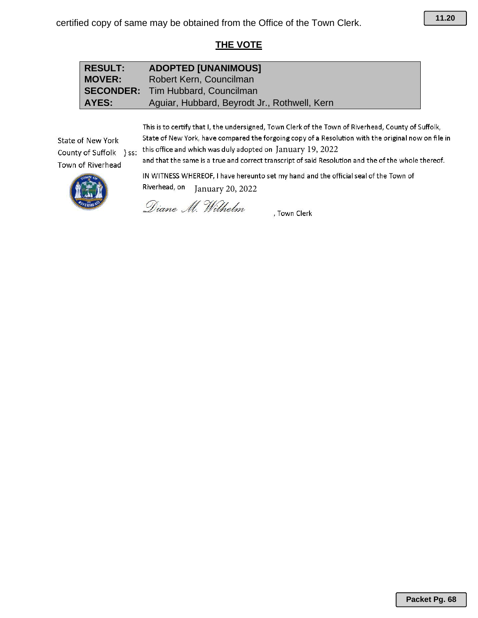# **THE VOTE**

## **RESULT: ADOPTED [UNANIMOUS] MOVER:** Robert Kern, Councilman **SECONDER:** Tim Hubbard, Councilman AYES: Aguiar, Hubbard, Beyrodt Jr., Rothwell, Kern

This is to certify that I, the undersigned, Town Clerk of the Town of Riverhead, County of Suffolk, State of New York, have compared the forgoing copy of a Resolution with the original now on file in this office and which was duly adopted on January 19, 2022

State of New York County of Suffolk } ss: Town of Riverhead

and that the same is a true and correct transcript of said Resolution and the of the whole thereof.



IN WITNESS WHEREOF, I have hereunto set my hand and the official seal of the Town of Riverhead, on January 20, 2022

Diane M. Wilhelm

, Town Clerk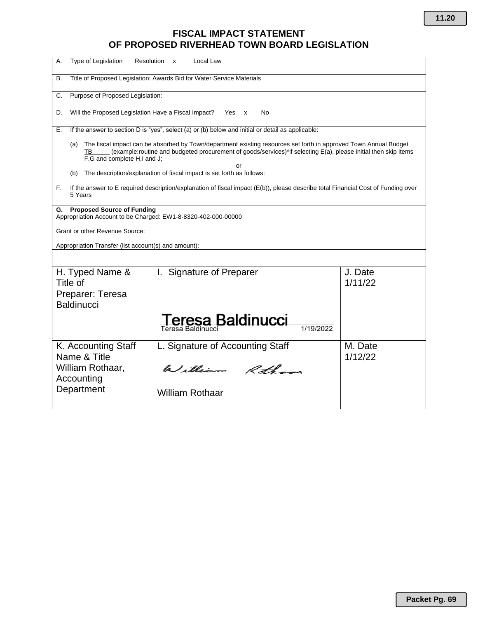## **FISCAL IMPACT STATEMENT OF PROPOSED RIVERHEAD TOWN BOARD LEGISLATION**

| Type of Legislation<br>А.                                                                                                                                                                                                                                                            | Resolution x Local Law                                                                                                            |                    |  |  |  |  |  |  |  |  |
|--------------------------------------------------------------------------------------------------------------------------------------------------------------------------------------------------------------------------------------------------------------------------------------|-----------------------------------------------------------------------------------------------------------------------------------|--------------------|--|--|--|--|--|--|--|--|
| В.                                                                                                                                                                                                                                                                                   | Title of Proposed Legislation: Awards Bid for Water Service Materials                                                             |                    |  |  |  |  |  |  |  |  |
| Purpose of Proposed Legislation:<br>C.                                                                                                                                                                                                                                               |                                                                                                                                   |                    |  |  |  |  |  |  |  |  |
| Will the Proposed Legislation Have a Fiscal Impact?<br>D.                                                                                                                                                                                                                            | Yes x<br>No                                                                                                                       |                    |  |  |  |  |  |  |  |  |
| If the answer to section D is "yes", select (a) or (b) below and initial or detail as applicable:<br>Е.                                                                                                                                                                              |                                                                                                                                   |                    |  |  |  |  |  |  |  |  |
| The fiscal impact can be absorbed by Town/department existing resources set forth in approved Town Annual Budget<br>(a)<br>(example:routine and budgeted procurement of goods/services)*if selecting E(a), please initial then skip items<br>TВ<br>F.G and complete H.I and J.<br>or |                                                                                                                                   |                    |  |  |  |  |  |  |  |  |
| (b)                                                                                                                                                                                                                                                                                  | The description/explanation of fiscal impact is set forth as follows:                                                             |                    |  |  |  |  |  |  |  |  |
| F.<br>5 Years                                                                                                                                                                                                                                                                        | If the answer to E required description/explanation of fiscal impact (E(b)), please describe total Financial Cost of Funding over |                    |  |  |  |  |  |  |  |  |
| <b>Proposed Source of Funding</b><br>G.<br>Appropriation Account to be Charged: EW1-8-8320-402-000-00000                                                                                                                                                                             |                                                                                                                                   |                    |  |  |  |  |  |  |  |  |
| <b>Grant or other Revenue Source:</b>                                                                                                                                                                                                                                                |                                                                                                                                   |                    |  |  |  |  |  |  |  |  |
| Appropriation Transfer (list account(s) and amount):                                                                                                                                                                                                                                 |                                                                                                                                   |                    |  |  |  |  |  |  |  |  |
|                                                                                                                                                                                                                                                                                      |                                                                                                                                   |                    |  |  |  |  |  |  |  |  |
| H. Typed Name &<br>Title of<br>Preparer: Teresa                                                                                                                                                                                                                                      | I. Signature of Preparer                                                                                                          | J. Date<br>1/11/22 |  |  |  |  |  |  |  |  |
| <b>Baldinucci</b>                                                                                                                                                                                                                                                                    |                                                                                                                                   |                    |  |  |  |  |  |  |  |  |
|                                                                                                                                                                                                                                                                                      | eresa Baldinucci<br>Teresa Baldinucci                                                                                             |                    |  |  |  |  |  |  |  |  |
| K. Accounting Staff<br>Name & Title                                                                                                                                                                                                                                                  | L. Signature of Accounting Staff                                                                                                  | M. Date<br>1/12/22 |  |  |  |  |  |  |  |  |
| William Rothaar,<br>Accounting                                                                                                                                                                                                                                                       | William Rotham                                                                                                                    |                    |  |  |  |  |  |  |  |  |
| Department                                                                                                                                                                                                                                                                           | <b>William Rothaar</b>                                                                                                            |                    |  |  |  |  |  |  |  |  |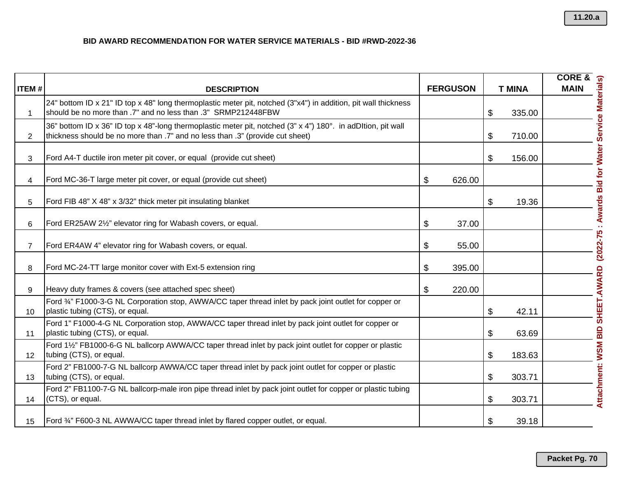| <b>ITEM#</b>    | <b>DESCRIPTION</b>                                                                                                                                                                            | <b>FERGUSON</b> | <b>T MINA</b> |                                                                                    |
|-----------------|-----------------------------------------------------------------------------------------------------------------------------------------------------------------------------------------------|-----------------|---------------|------------------------------------------------------------------------------------|
| 1               | 24" bottom ID x 21" ID top x 48" long thermoplastic meter pit, notched (3"x4") in addition, pit wall thickness<br>should be no more than .7" and no less than .3" SRMP212448FBW               |                 | \$<br>335.00  |                                                                                    |
| $\overline{2}$  | 36" bottom ID x 36" ID top x 48"-long thermoplastic meter pit, notched (3" x 4") 180°. in adDItion, pit wall<br>thickness should be no more than .7" and no less than .3" (provide cut sheet) |                 | \$<br>710.00  | Attachment: WSM BID SHEET.AWARD (2022-75 : Awards Bid for Water Service Materials) |
| 3               | Ford A4-T ductile iron meter pit cover, or equal (provide cut sheet)                                                                                                                          |                 | \$<br>156.00  |                                                                                    |
| 4               | Ford MC-36-T large meter pit cover, or equal (provide cut sheet)                                                                                                                              | \$<br>626.00    |               |                                                                                    |
| 5               | Ford FIB 48" X 48" x 3/32" thick meter pit insulating blanket                                                                                                                                 |                 | \$<br>19.36   |                                                                                    |
| 6               | Ford ER25AW 21/2" elevator ring for Wabash covers, or equal.                                                                                                                                  | \$<br>37.00     |               |                                                                                    |
| $\overline{7}$  | Ford ER4AW 4" elevator ring for Wabash covers, or equal.                                                                                                                                      | \$<br>55.00     |               |                                                                                    |
| 8               | Ford MC-24-TT large monitor cover with Ext-5 extension ring                                                                                                                                   | \$<br>395.00    |               |                                                                                    |
| 9               | Heavy duty frames & covers (see attached spec sheet)                                                                                                                                          | \$<br>220.00    |               |                                                                                    |
| 10 <sup>°</sup> | Ford 34" F1000-3-G NL Corporation stop, AWWA/CC taper thread inlet by pack joint outlet for copper or<br>plastic tubing (CTS), or equal.                                                      |                 | \$<br>42.11   |                                                                                    |
| 11              | Ford 1" F1000-4-G NL Corporation stop, AWWA/CC taper thread inlet by pack joint outlet for copper or<br>plastic tubing (CTS), or equal.                                                       |                 | \$<br>63.69   |                                                                                    |
| 12 <sup>2</sup> | Ford 1½" FB1000-6-G NL ballcorp AWWA/CC taper thread inlet by pack joint outlet for copper or plastic<br>tubing (CTS), or equal.                                                              |                 | \$<br>183.63  |                                                                                    |
| 13              | Ford 2" FB1000-7-G NL ballcorp AWWA/CC taper thread inlet by pack joint outlet for copper or plastic<br>tubing (CTS), or equal.                                                               |                 | \$<br>303.71  |                                                                                    |
| 14              | Ford 2" FB1100-7-G NL ballcorp-male iron pipe thread inlet by pack joint outlet for copper or plastic tubing<br>(CTS), or equal.                                                              |                 | \$<br>303.71  |                                                                                    |
| 15              | Ford 34" F600-3 NL AWWA/CC taper thread inlet by flared copper outlet, or equal.                                                                                                              |                 | \$<br>39.18   |                                                                                    |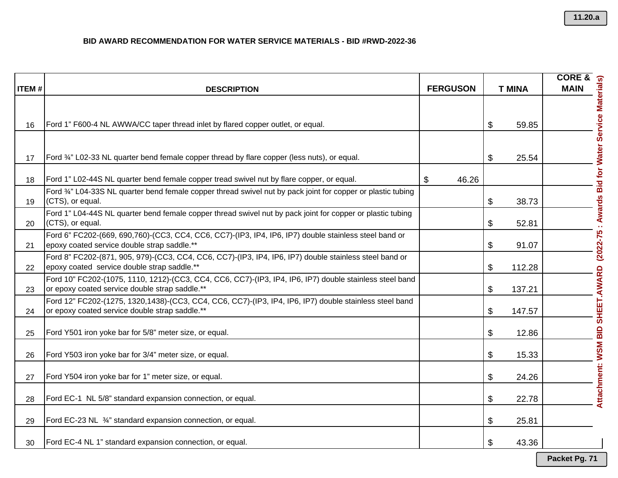|              |                                                                                                                                                           |                 |               | <b>CORE &amp;</b>                                                                  |
|--------------|-----------------------------------------------------------------------------------------------------------------------------------------------------------|-----------------|---------------|------------------------------------------------------------------------------------|
| <b>ITEM#</b> | <b>DESCRIPTION</b>                                                                                                                                        | <b>FERGUSON</b> | <b>T MINA</b> | <b>MAIN</b>                                                                        |
|              |                                                                                                                                                           |                 |               |                                                                                    |
| 16           | Ford 1" F600-4 NL AWWA/CC taper thread inlet by flared copper outlet, or equal.                                                                           |                 | \$<br>59.85   |                                                                                    |
|              |                                                                                                                                                           |                 |               |                                                                                    |
| 17           | Ford 3/4" L02-33 NL quarter bend female copper thread by flare copper (less nuts), or equal.                                                              |                 | \$<br>25.54   |                                                                                    |
| 18           | Ford 1" L02-44S NL quarter bend female copper tread swivel nut by flare copper, or equal.                                                                 | \$<br>46.26     |               |                                                                                    |
| 19           | Ford 3/4" L04-33S NL quarter bend female copper thread swivel nut by pack joint for copper or plastic tubing<br>(CTS), or equal.                          |                 | \$<br>38.73   |                                                                                    |
| 20           | Ford 1" L04-44S NL quarter bend female copper thread swivel nut by pack joint for copper or plastic tubing<br>(CTS), or equal.                            |                 | \$<br>52.81   |                                                                                    |
| 21           | Ford 6" FC202-(669, 690,760)-(CC3, CC4, CC6, CC7)-(IP3, IP4, IP6, IP7) double stainless steel band or<br>epoxy coated service double strap saddle.**      |                 | \$<br>91.07   |                                                                                    |
| 22           | Ford 8" FC202-(871, 905, 979)-(CC3, CC4, CC6, CC7)-(IP3, IP4, IP6, IP7) double stainless steel band or<br>epoxy coated service double strap saddle.**     |                 | \$<br>112.28  |                                                                                    |
| 23           | Ford 10" FC202-(1075, 1110, 1212)-(CC3, CC4, CC6, CC7)-(IP3, IP4, IP6, IP7) double stainless steel band<br>or epoxy coated service double strap saddle.** |                 | \$<br>137.21  |                                                                                    |
| 24           | Ford 12" FC202-(1275, 1320, 1438)-(CC3, CC4, CC6, CC7)-(IP3, IP4, IP6, IP7) double stainless steel band<br>or epoxy coated service double strap saddle.** |                 | \$<br>147.57  |                                                                                    |
| 25           | Ford Y501 iron yoke bar for 5/8" meter size, or equal.                                                                                                    |                 | 12.86<br>\$   | Attachment: WSM BID SHEET.AWARD (2022-75 : Awards Bid for Water Service Materials) |
| 26           | Ford Y503 iron yoke bar for 3/4" meter size, or equal.                                                                                                    |                 | \$<br>15.33   |                                                                                    |
| 27           | Ford Y504 iron yoke bar for 1" meter size, or equal.                                                                                                      |                 | \$<br>24.26   |                                                                                    |
| 28           | Ford EC-1 NL 5/8" standard expansion connection, or equal.                                                                                                |                 | \$<br>22.78   |                                                                                    |
| 29           | Ford EC-23 NL 3/4" standard expansion connection, or equal.                                                                                               |                 | 25.81<br>\$   |                                                                                    |
| 30           | Ford EC-4 NL 1" standard expansion connection, or equal.                                                                                                  |                 | \$<br>43.36   |                                                                                    |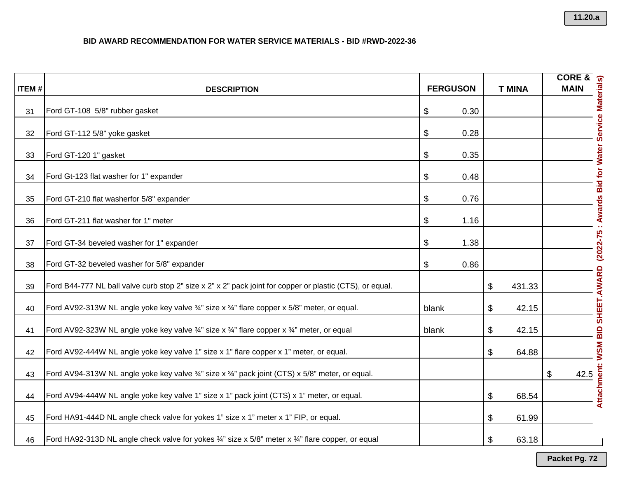| <b>ITEM#</b> |                                                                                                                          | <b>FERGUSON</b> |      |                | <b>T MINA</b> |                                                                                                                                       |
|--------------|--------------------------------------------------------------------------------------------------------------------------|-----------------|------|----------------|---------------|---------------------------------------------------------------------------------------------------------------------------------------|
|              | <b>DESCRIPTION</b>                                                                                                       |                 |      |                |               |                                                                                                                                       |
| 31           | Ford GT-108 5/8" rubber gasket                                                                                           | \$              | 0.30 |                |               |                                                                                                                                       |
| 32           | Ford GT-112 5/8" yoke gasket                                                                                             | \$              | 0.28 |                |               |                                                                                                                                       |
| 33           | Ford GT-120 1" gasket                                                                                                    | \$              | 0.35 |                |               |                                                                                                                                       |
| 34           | Ford Gt-123 flat washer for 1" expander                                                                                  | \$              | 0.48 |                |               |                                                                                                                                       |
| 35           | Ford GT-210 flat washerfor 5/8" expander                                                                                 | \$              | 0.76 |                |               |                                                                                                                                       |
| 36           | Ford GT-211 flat washer for 1" meter                                                                                     | \$              | 1.16 |                |               |                                                                                                                                       |
| 37           | Ford GT-34 beveled washer for 1" expander                                                                                | \$              | 1.38 |                |               | $(2022 - 75)$                                                                                                                         |
| 38           | Ford GT-32 beveled washer for 5/8" expander                                                                              | \$              | 0.86 |                |               |                                                                                                                                       |
| 39           | Ford B44-777 NL ball valve curb stop 2" size x 2" x 2" pack joint for copper or plastic (CTS), or equal.                 |                 |      | \$             | 431.33        |                                                                                                                                       |
| 40           | Ford AV92-313W NL angle yoke key valve 3/4" size x 3/4" flare copper x 5/8" meter, or equal.                             | blank           |      | \$             | 42.15         | <b>WSM BID SHEET.AWARD</b>                                                                                                            |
| 41           | Ford AV92-323W NL angle yoke key valve 3/4" size x 3/4" flare copper x 3/4" meter, or equal                              | blank           |      | \$             | 42.15         |                                                                                                                                       |
| 42           | Ford AV92-444W NL angle yoke key valve 1" size x 1" flare copper x 1" meter, or equal.                                   |                 |      | \$             | 64.88         |                                                                                                                                       |
| 43           | Ford AV94-313W NL angle yoke key valve 3/4" size x 3/4" pack joint (CTS) x 5/8" meter, or equal.                         |                 |      |                |               | \$<br>$\begin{array}{c}\n\hline\n\end{array}\n\qquad \qquad \begin{array}{c}\n\hline\n42.5 \\ \hline\n\end{array}$ <b>Attachment:</b> |
| 44           | Ford AV94-444W NL angle yoke key valve 1" size x 1" pack joint (CTS) x 1" meter, or equal.                               |                 |      | $\mathfrak{S}$ | 68.54         |                                                                                                                                       |
| 45           | Ford HA91-444D NL angle check valve for yokes 1" size x 1" meter x 1" FIP, or equal.                                     |                 |      | \$             | 61.99         |                                                                                                                                       |
| 46           | Ford HA92-313D NL angle check valve for yokes $\frac{3}{4}$ " size x 5/8" meter x $\frac{3}{4}$ " flare copper, or equal |                 |      | \$             | 63.18         |                                                                                                                                       |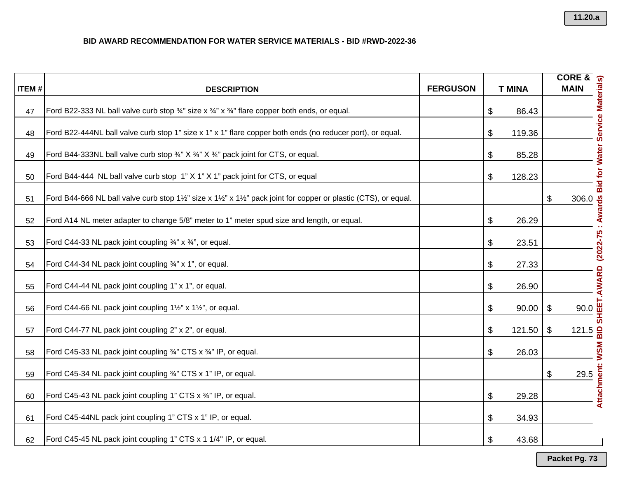| <b>ITEM#</b> | <b>DESCRIPTION</b>                                                                                          | <b>FERGUSON</b> | <b>T MINA</b> |                                                                      |
|--------------|-------------------------------------------------------------------------------------------------------------|-----------------|---------------|----------------------------------------------------------------------|
| 47           | Ford B22-333 NL ball valve curb stop 3/4" size x 3/4" x 3/4" flare copper both ends, or equal.              |                 | 86.43<br>\$   |                                                                      |
| 48           | Ford B22-444NL ball valve curb stop 1" size x 1" x 1" flare copper both ends (no reducer port), or equal.   |                 | \$<br>119.36  |                                                                      |
| 49           | Ford B44-333NL ball valve curb stop 3/4" X 3/4" X 3/4" pack joint for CTS, or equal.                        |                 | \$<br>85.28   |                                                                      |
| 50           | Ford B44-444 NL ball valve curb stop 1" X 1" X 1" pack joint for CTS, or equal                              |                 | \$<br>128.23  |                                                                      |
| 51           | Ford B44-666 NL ball valve curb stop 1½" size x 1½" x 1½" pack joint for copper or plastic (CTS), or equal. |                 |               | SHEET.AWARD (2022-75 : Awards Bid for Water Service Materials)<br>\$ |
| 52           | Ford A14 NL meter adapter to change 5/8" meter to 1" meter spud size and length, or equal.                  |                 | \$<br>26.29   |                                                                      |
| 53           | Ford C44-33 NL pack joint coupling 3/4" x 3/4", or equal.                                                   |                 | \$<br>23.51   |                                                                      |
| 54           | Ford C44-34 NL pack joint coupling 3/4" x 1", or equal.                                                     |                 | \$<br>27.33   |                                                                      |
| 55           | Ford C44-44 NL pack joint coupling 1" x 1", or equal.                                                       |                 | \$<br>26.90   |                                                                      |
| 56           | Ford C44-66 NL pack joint coupling 11/2" x 11/2", or equal.                                                 |                 | \$<br>90.00   | \$                                                                   |
| 57           | Ford C44-77 NL pack joint coupling 2" x 2", or equal.                                                       |                 | 121.50<br>\$  | $121.5 \frac{2}{9}$<br>\$                                            |
| 58           | Ford C45-33 NL pack joint coupling 3/4" CTS x 3/4" IP, or equal.                                            |                 | \$<br>26.03   |                                                                      |
| 59           | Ford C45-34 NL pack joint coupling 3/4" CTS x 1" IP, or equal.                                              |                 |               | \$<br>29.5                                                           |
| 60           | Ford C45-43 NL pack joint coupling 1" CTS x 3/4" IP, or equal.                                              |                 | \$<br>29.28   | Attachment: WSM                                                      |
| 61           | Ford C45-44NL pack joint coupling 1" CTS x 1" IP, or equal.                                                 |                 | \$<br>34.93   |                                                                      |
| 62           | Ford C45-45 NL pack joint coupling 1" CTS x 1 1/4" IP, or equal.                                            |                 | 43.68<br>\$   |                                                                      |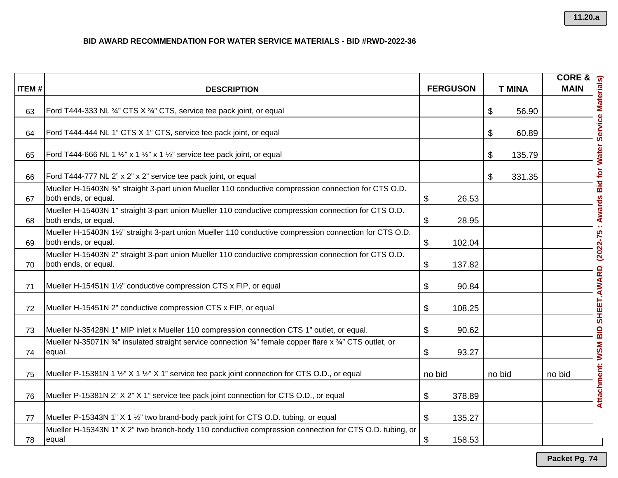| <b>ITEM#</b> | <b>DESCRIPTION</b>                                                                                                            |        | <b>FERGUSON</b> | <b>T MINA</b> | <b>CORE &amp;</b><br><b>MAIN</b>          |
|--------------|-------------------------------------------------------------------------------------------------------------------------------|--------|-----------------|---------------|-------------------------------------------|
|              |                                                                                                                               |        |                 |               |                                           |
| 63           | Ford T444-333 NL 3/4" CTS X 3/4" CTS, service tee pack joint, or equal                                                        |        |                 | \$<br>56.90   |                                           |
| 64           | Ford T444-444 NL 1" CTS X 1" CTS, service tee pack joint, or equal                                                            |        |                 | \$<br>60.89   |                                           |
| 65           | Ford T444-666 NL 1 $\frac{1}{2}$ " x 1 $\frac{1}{2}$ " x 1 $\frac{1}{2}$ " service tee pack joint, or equal                   |        |                 | \$<br>135.79  |                                           |
| 66           | Ford T444-777 NL 2" x 2" x 2" service tee pack joint, or equal                                                                |        |                 | \$<br>331.35  |                                           |
| 67           | Mueller H-15403N 34" straight 3-part union Mueller 110 conductive compression connection for CTS O.D.<br>both ends, or equal. | \$     | 26.53           |               |                                           |
| 68           | Mueller H-15403N 1" straight 3-part union Mueller 110 conductive compression connection for CTS O.D.<br>both ends, or equal.  | \$     | 28.95           |               | : Awards Bid for Water Service Materials) |
| 69           | Mueller H-15403N 1½" straight 3-part union Mueller 110 conductive compression connection for CTS O.D.<br>both ends, or equal. | \$     | 102.04          |               |                                           |
| 70           | Mueller H-15403N 2" straight 3-part union Mueller 110 conductive compression connection for CTS O.D.<br>both ends, or equal.  | \$     | 137.82          |               |                                           |
| 71           | Mueller H-15451N 11/2" conductive compression CTS x FIP, or equal                                                             | \$     | 90.84           |               |                                           |
| 72           | Mueller H-15451N 2" conductive compression CTS x FIP, or equal                                                                | \$     | 108.25          |               |                                           |
| 73           | Mueller N-35428N 1" MIP inlet x Mueller 110 compression connection CTS 1" outlet, or equal.                                   | \$     | 90.62           |               |                                           |
| 74           | Mueller N-35071N 34" insulated straight service connection 34" female copper flare x 34" CTS outlet, or<br>equal.             | \$     | 93.27           |               |                                           |
| 75           | Mueller P-15381N 1 1/2" X 1 1/2" X 1" service tee pack joint connection for CTS O.D., or equal                                | no bid |                 | no bid        | no bid                                    |
| 76           | Mueller P-15381N 2" X 2" X 1" service tee pack joint connection for CTS O.D., or equal                                        | \$     | 378.89          |               | Attachment: WSM BID SHEET.AWARD (2022-75  |
| 77           | Mueller P-15343N 1" X 1 1/2" two brand-body pack joint for CTS O.D. tubing, or equal                                          | \$     | 135.27          |               |                                           |
| 78           | Mueller H-15343N 1" X 2" two branch-body 110 conductive compression connection for CTS O.D. tubing, or<br>equal               | \$     | 158.53          |               |                                           |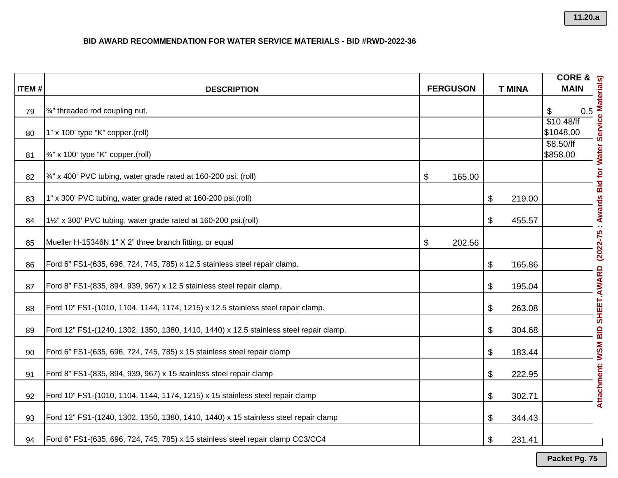|              |                                                                                        |                 |                       |               | <b>CORE &amp;</b>                                                |
|--------------|----------------------------------------------------------------------------------------|-----------------|-----------------------|---------------|------------------------------------------------------------------|
| <b>ITEM#</b> | <b>DESCRIPTION</b>                                                                     | <b>FERGUSON</b> |                       | <b>T MINA</b> | <b>MAIN</b>                                                      |
| 79           | 3/4" threaded rod coupling nut.                                                        |                 |                       |               | $\$\$<br>0.5                                                     |
| 80           | 1" x 100' type "K" copper.(roll)                                                       |                 |                       |               | \$10.48/<br>\$1048.00                                            |
| 81           | 3/4" x 100' type "K" copper.(roll)                                                     |                 |                       |               | : Awards Bid for Water Service Materials)<br>\$8.50/<br>\$858.00 |
| 82           | $\frac{3}{4}$ " x 400' PVC tubing, water grade rated at 160-200 psi. (roll)            | \$<br>165.00    |                       |               |                                                                  |
| 83           | 1" x 300' PVC tubing, water grade rated at 160-200 psi.(roll)                          |                 | \$                    | 219.00        |                                                                  |
| 84           | 11/2" x 300' PVC tubing, water grade rated at 160-200 psi.(roll)                       |                 | \$                    | 455.57        |                                                                  |
| 85           | Mueller H-15346N 1" X 2" three branch fitting, or equal                                | \$<br>202.56    |                       |               |                                                                  |
| 86           | Ford 6" FS1-(635, 696, 724, 745, 785) x 12.5 stainless steel repair clamp.             |                 | \$                    | 165.86        |                                                                  |
| 87           | Ford 8" FS1-(835, 894, 939, 967) x 12.5 stainless steel repair clamp.                  |                 | $\boldsymbol{\theta}$ | 195.04        |                                                                  |
| 88           | Ford 10" FS1-(1010, 1104, 1144, 1174, 1215) x 12.5 stainless steel repair clamp.       |                 | \$                    | 263.08        |                                                                  |
| 89           | Ford 12" FS1-(1240, 1302, 1350, 1380, 1410, 1440) x 12.5 stainless steel repair clamp. |                 | \$                    | 304.68        |                                                                  |
| 90           | Ford 6" FS1-(635, 696, 724, 745, 785) x 15 stainless steel repair clamp                |                 | \$                    | 183.44        |                                                                  |
| 91           | Ford 8" FS1-(835, 894, 939, 967) x 15 stainless steel repair clamp                     |                 | $\boldsymbol{\theta}$ | 222.95        | Attachment: WSM BID SHEET.AWARD (2022-75                         |
| 92           | Ford 10" FS1-(1010, 1104, 1144, 1174, 1215) x 15 stainless steel repair clamp          |                 | \$                    | 302.71        |                                                                  |
| 93           | Ford 12" FS1-(1240, 1302, 1350, 1380, 1410, 1440) x 15 stainless steel repair clamp    |                 | \$                    | 344.43        |                                                                  |
| 94           | Ford 6" FS1-(635, 696, 724, 745, 785) x 15 stainless steel repair clamp CC3/CC4        |                 | \$                    | 231.41        |                                                                  |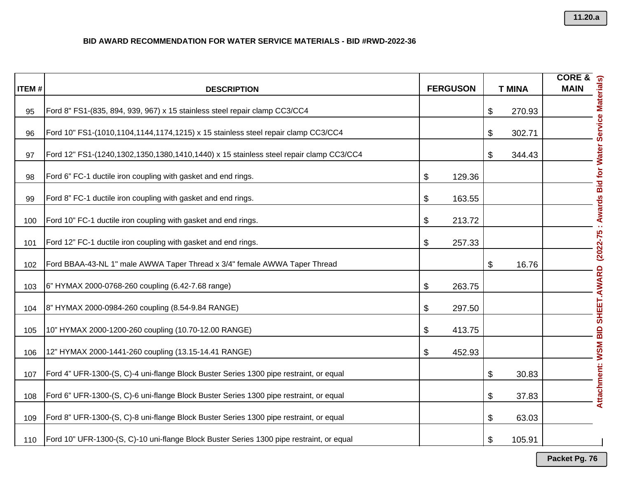|              |                                                                                          |                 |               | <b>CORE &amp;</b>                         |
|--------------|------------------------------------------------------------------------------------------|-----------------|---------------|-------------------------------------------|
| <b>ITEM#</b> | <b>DESCRIPTION</b>                                                                       | <b>FERGUSON</b> | <b>T MINA</b> | <b>MAIN</b>                               |
| 95           | Ford 8" FS1-(835, 894, 939, 967) x 15 stainless steel repair clamp CC3/CC4               |                 | \$<br>270.93  |                                           |
| 96           | Ford 10" FS1-(1010,1104,1144,1174,1215) x 15 stainless steel repair clamp CC3/CC4        |                 | \$<br>302.71  |                                           |
| 97           | Ford 12" FS1-(1240,1302,1350,1380,1410,1440) x 15 stainless steel repair clamp CC3/CC4   |                 | \$<br>344.43  |                                           |
| 98           | Ford 6" FC-1 ductile iron coupling with gasket and end rings.                            | \$<br>129.36    |               |                                           |
| 99           | Ford 8" FC-1 ductile iron coupling with gasket and end rings.                            | \$<br>163.55    |               |                                           |
| 100          | Ford 10" FC-1 ductile iron coupling with gasket and end rings.                           | \$<br>213.72    |               | : Awards Bid for Water Service Materials) |
| 101          | Ford 12" FC-1 ductile iron coupling with gasket and end rings.                           | \$<br>257.33    |               |                                           |
| 102          | Ford BBAA-43-NL 1" male AWWA Taper Thread x 3/4" female AWWA Taper Thread                |                 | \$<br>16.76   |                                           |
| 103          | 6" HYMAX 2000-0768-260 coupling (6.42-7.68 range)                                        | \$<br>263.75    |               |                                           |
| 104          | 8" HYMAX 2000-0984-260 coupling (8.54-9.84 RANGE)                                        | \$<br>297.50    |               |                                           |
| 105          | 10" HYMAX 2000-1200-260 coupling (10.70-12.00 RANGE)                                     | \$<br>413.75    |               |                                           |
| 106          | 12" HYMAX 2000-1441-260 coupling (13.15-14.41 RANGE)                                     | \$<br>452.93    |               |                                           |
| 107          | Ford 4" UFR-1300-(S, C)-4 uni-flange Block Buster Series 1300 pipe restraint, or equal   |                 | \$<br>30.83   |                                           |
| 108          | Ford 6" UFR-1300-(S, C)-6 uni-flange Block Buster Series 1300 pipe restraint, or equal   |                 | \$<br>37.83   | Attachment: WSM BID SHEET.AWARD (2022-75  |
| 109          | Ford 8" UFR-1300-(S, C)-8 uni-flange Block Buster Series 1300 pipe restraint, or equal   |                 | \$<br>63.03   |                                           |
| 110          | Ford 10" UFR-1300-(S, C)-10 uni-flange Block Buster Series 1300 pipe restraint, or equal |                 | \$<br>105.91  |                                           |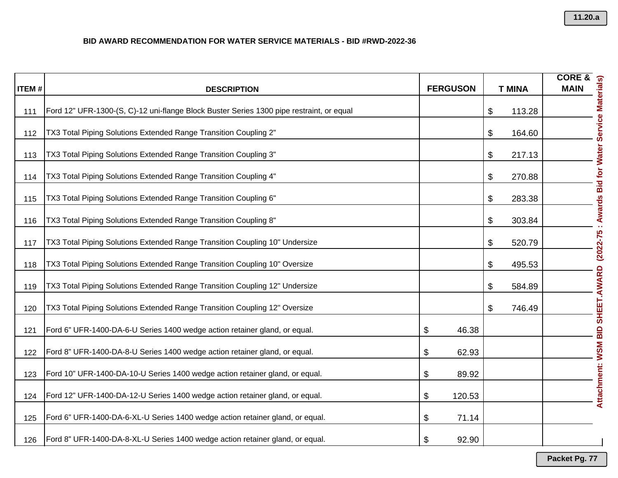| <b>ITEM#</b> | <b>DESCRIPTION</b>                                                                       |       | <b>FERGUSON</b> | <b>T MINA</b> | <b>CORE &amp;</b><br><b>MAIN</b>          |
|--------------|------------------------------------------------------------------------------------------|-------|-----------------|---------------|-------------------------------------------|
|              |                                                                                          |       |                 |               |                                           |
| 111          | Ford 12" UFR-1300-(S, C)-12 uni-flange Block Buster Series 1300 pipe restraint, or equal |       |                 | \$<br>113.28  |                                           |
| 112          | TX3 Total Piping Solutions Extended Range Transition Coupling 2"                         |       |                 | \$<br>164.60  |                                           |
| 113          | TX3 Total Piping Solutions Extended Range Transition Coupling 3"                         |       |                 | \$<br>217.13  |                                           |
| 114          | TX3 Total Piping Solutions Extended Range Transition Coupling 4"                         |       |                 | \$<br>270.88  |                                           |
| 115          | TX3 Total Piping Solutions Extended Range Transition Coupling 6"                         |       |                 | \$<br>283.38  |                                           |
| 116          | TX3 Total Piping Solutions Extended Range Transition Coupling 8"                         |       |                 | \$<br>303.84  | : Awards Bid for Water Service Materials) |
| 117          | TX3 Total Piping Solutions Extended Range Transition Coupling 10" Undersize              |       |                 | \$<br>520.79  |                                           |
| 118          | TX3 Total Piping Solutions Extended Range Transition Coupling 10" Oversize               |       |                 | \$<br>495.53  |                                           |
| 119          | TX3 Total Piping Solutions Extended Range Transition Coupling 12" Undersize              |       |                 | \$<br>584.89  |                                           |
| 120          | TX3 Total Piping Solutions Extended Range Transition Coupling 12" Oversize               |       |                 | \$<br>746.49  |                                           |
| 121          | Ford 6" UFR-1400-DA-6-U Series 1400 wedge action retainer gland, or equal.               | \$    | 46.38           |               |                                           |
| 122          | Ford 8" UFR-1400-DA-8-U Series 1400 wedge action retainer gland, or equal.               | \$    | 62.93           |               |                                           |
| 123          | Ford 10" UFR-1400-DA-10-U Series 1400 wedge action retainer gland, or equal.             | $\$\$ | 89.92           |               | Attachment: WSM BID SHEET.AWARD (2022-75  |
| 124          | Ford 12" UFR-1400-DA-12-U Series 1400 wedge action retainer gland, or equal.             | \$    | 120.53          |               |                                           |
| 125          | Ford 6" UFR-1400-DA-6-XL-U Series 1400 wedge action retainer gland, or equal.            | \$    | 71.14           |               |                                           |
| 126          | Ford 8" UFR-1400-DA-8-XL-U Series 1400 wedge action retainer gland, or equal.            | \$    | 92.90           |               |                                           |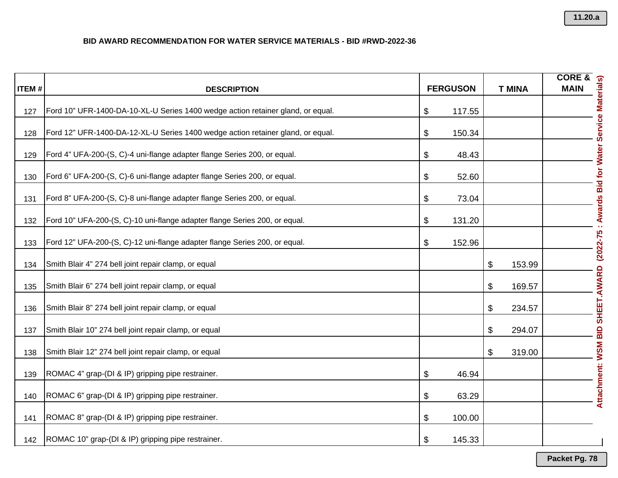|              |                                                                                 |                 |               | <b>CORE &amp;</b>                                                                  |
|--------------|---------------------------------------------------------------------------------|-----------------|---------------|------------------------------------------------------------------------------------|
| <b>ITEM#</b> | <b>DESCRIPTION</b>                                                              | <b>FERGUSON</b> | <b>T MINA</b> | <b>MAIN</b>                                                                        |
| 127          | Ford 10" UFR-1400-DA-10-XL-U Series 1400 wedge action retainer gland, or equal. | \$<br>117.55    |               |                                                                                    |
| 128          | Ford 12" UFR-1400-DA-12-XL-U Series 1400 wedge action retainer gland, or equal. | \$<br>150.34    |               |                                                                                    |
| 129          | Ford 4" UFA-200-(S, C)-4 uni-flange adapter flange Series 200, or equal.        | \$<br>48.43     |               |                                                                                    |
| 130          | Ford 6" UFA-200-(S, C)-6 uni-flange adapter flange Series 200, or equal.        | \$<br>52.60     |               |                                                                                    |
| 131          | Ford 8" UFA-200-(S, C)-8 uni-flange adapter flange Series 200, or equal.        | \$<br>73.04     |               |                                                                                    |
| 132          | Ford 10" UFA-200-(S, C)-10 uni-flange adapter flange Series 200, or equal.      | \$<br>131.20    |               |                                                                                    |
| 133          | Ford 12" UFA-200-(S, C)-12 uni-flange adapter flange Series 200, or equal.      | \$<br>152.96    |               |                                                                                    |
| 134          | Smith Blair 4" 274 bell joint repair clamp, or equal                            |                 | \$<br>153.99  |                                                                                    |
| 135          | Smith Blair 6" 274 bell joint repair clamp, or equal                            |                 | \$<br>169.57  |                                                                                    |
| 136          | Smith Blair 8" 274 bell joint repair clamp, or equal                            |                 | \$<br>234.57  |                                                                                    |
| 137          | Smith Blair 10" 274 bell joint repair clamp, or equal                           |                 | \$<br>294.07  |                                                                                    |
| 138          | Smith Blair 12" 274 bell joint repair clamp, or equal                           |                 | \$<br>319.00  |                                                                                    |
| 139          | ROMAC 4" grap-(DI & IP) gripping pipe restrainer.                               | \$<br>46.94     |               | Attachment: WSM BID SHEET.AWARD (2022-75 : Awards Bid for Water Service Materials) |
| 140          | ROMAC 6" grap-(DI & IP) gripping pipe restrainer.                               | \$<br>63.29     |               |                                                                                    |
| 141          | ROMAC 8" grap-(DI & IP) gripping pipe restrainer.                               | \$<br>100.00    |               |                                                                                    |
| 142          | ROMAC 10" grap-(DI & IP) gripping pipe restrainer.                              | \$<br>145.33    |               |                                                                                    |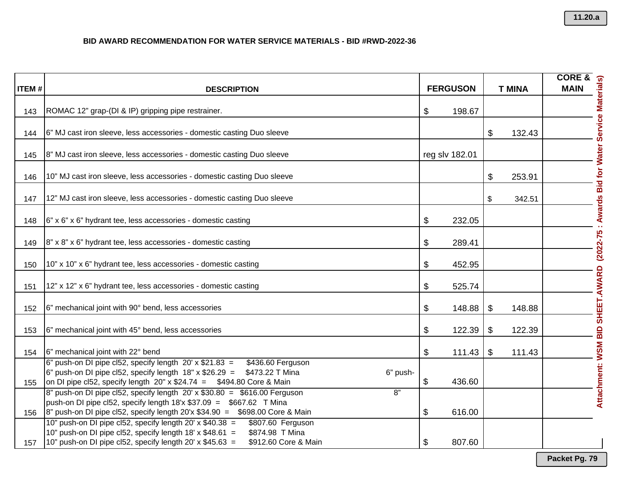| <b>ITEM#</b> | <b>DESCRIPTION</b>                                                                                                                                                                                                                                               | <b>FERGUSON</b> | <b>T MINA</b>   |                                                                                                                            |
|--------------|------------------------------------------------------------------------------------------------------------------------------------------------------------------------------------------------------------------------------------------------------------------|-----------------|-----------------|----------------------------------------------------------------------------------------------------------------------------|
|              |                                                                                                                                                                                                                                                                  |                 |                 |                                                                                                                            |
| 143          | ROMAC 12" grap-(DI & IP) gripping pipe restrainer.                                                                                                                                                                                                               | \$<br>198.67    |                 |                                                                                                                            |
| 144          | 6" MJ cast iron sleeve, less accessories - domestic casting Duo sleeve                                                                                                                                                                                           |                 | \$<br>132.43    |                                                                                                                            |
| 145          | 8" MJ cast iron sleeve, less accessories - domestic casting Duo sleeve                                                                                                                                                                                           | reg slv 182.01  |                 |                                                                                                                            |
| 146          | 10" MJ cast iron sleeve, less accessories - domestic casting Duo sleeve                                                                                                                                                                                          |                 | \$<br>253.91    |                                                                                                                            |
| 147          | 12" MJ cast iron sleeve, less accessories - domestic casting Duo sleeve                                                                                                                                                                                          |                 | \$<br>342.51    |                                                                                                                            |
| 148          | 6" x 6" x 6" hydrant tee, less accessories - domestic casting                                                                                                                                                                                                    | \$<br>232.05    |                 | <b>SORE SERVIEW AND RESERVED AND RESERVED AND RESERVED AND RESERVED AND RESERVED AND RESERVED MATCH SERVICE Materials)</b> |
| 149          | 8" x 8" x 6" hydrant tee, less accessories - domestic casting                                                                                                                                                                                                    | \$<br>289.41    |                 |                                                                                                                            |
| 150          | 10" x 10" x 6" hydrant tee, less accessories - domestic casting                                                                                                                                                                                                  | \$<br>452.95    |                 |                                                                                                                            |
| 151          | 12" x 12" x 6" hydrant tee, less accessories - domestic casting                                                                                                                                                                                                  | \$<br>525.74    |                 |                                                                                                                            |
| 152          | 6" mechanical joint with 90° bend, less accessories                                                                                                                                                                                                              | \$<br>148.88    | \$<br>148.88    |                                                                                                                            |
| 153          | 6" mechanical joint with 45° bend, less accessories                                                                                                                                                                                                              | \$<br>122.39    | \$<br>122.39    |                                                                                                                            |
| 154          | 6" mechanical joint with 22° bend                                                                                                                                                                                                                                | \$<br>111.43    | $\$\$<br>111.43 |                                                                                                                            |
| 155          | $6"$ push-on DI pipe cl52, specify length $20'$ x \$21.83 =<br>\$436.60 Ferguson<br>$\left 6\right $ push-on DI pipe cl52, specify length 18" x \$26.29 = \$473.22 T Mina<br>6" push-<br>on DI pipe cl52, specify length $20''$ x \$24.74 = \$494.80 Core & Main | \$<br>436.60    |                 | Attachment: WSM BID SHEET.AWARD                                                                                            |
|              | $8$ " push-on DI pipe cl52, specify length 20' x \$30.80 = \$616.00 Ferguson<br>8"<br>push-on DI pipe cl52, specify length $18'x$ \$37.09 = \$667.62 T Mina                                                                                                      |                 |                 |                                                                                                                            |
| 156          | $\vert$ 8" push-on DI pipe cl52, specify length 20'x \$34.90 = \$698.00 Core & Main<br>10" push-on DI pipe cl52, specify length $20' \times $40.38$ =<br>\$807.60 Ferguson                                                                                       | \$<br>616.00    |                 |                                                                                                                            |
|              | 10" push-on DI pipe cl52, specify length 18' x $$48.61 =$<br>\$874.98 T Mina                                                                                                                                                                                     |                 |                 |                                                                                                                            |
| 157          | 10" push-on DI pipe cl52, specify length 20' x $$45.63 =$<br>\$912.60 Core & Main                                                                                                                                                                                | \$<br>807.60    |                 |                                                                                                                            |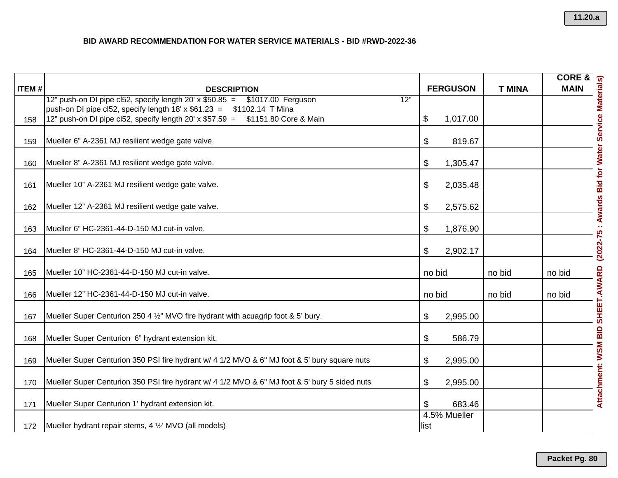|              |                                                                                                                      |                      |               | <b>CORE &amp;</b>                                  |
|--------------|----------------------------------------------------------------------------------------------------------------------|----------------------|---------------|----------------------------------------------------|
| <b>ITEM#</b> | <b>DESCRIPTION</b><br>12" push-on DI pipe cl52, specify length 20' x \$50.85 = \$1017.00 Ferguson<br>$\overline{12}$ | <b>FERGUSON</b>      | <b>T MINA</b> | <b>MAIN</b>                                        |
|              | push-on DI pipe cl52, specify length $18' \times $61.23 = $1102.14$ T Mina                                           |                      |               |                                                    |
| 158          | 12" push-on DI pipe cl52, specify length 20' x \$57.59 = \$1151.80 Core & Main                                       | 1,017.00<br>\$       |               |                                                    |
| 159          | Mueller 6" A-2361 MJ resilient wedge gate valve.                                                                     | \$<br>819.67         |               | (2022-75 : Awards Bid for Water Service Materials) |
| 160          | Mueller 8" A-2361 MJ resilient wedge gate valve.                                                                     | \$<br>1,305.47       |               |                                                    |
| 161          | Mueller 10" A-2361 MJ resilient wedge gate valve.                                                                    | \$<br>2,035.48       |               |                                                    |
| 162          | Mueller 12" A-2361 MJ resilient wedge gate valve.                                                                    | \$<br>2,575.62       |               |                                                    |
| 163          | Mueller 6" HC-2361-44-D-150 MJ cut-in valve.                                                                         | \$<br>1,876.90       |               |                                                    |
| 164          | Mueller 8" HC-2361-44-D-150 MJ cut-in valve.                                                                         | \$<br>2,902.17       |               |                                                    |
| 165          | Mueller 10" HC-2361-44-D-150 MJ cut-in valve.                                                                        | no bid               | no bid        | no bid                                             |
| 166          | Mueller 12" HC-2361-44-D-150 MJ cut-in valve.                                                                        | no bid               | no bid        | no bid                                             |
| 167          | Mueller Super Centurion 250 4 1/2" MVO fire hydrant with acuagrip foot & 5' bury.                                    | \$<br>2,995.00       |               |                                                    |
| 168          | Mueller Super Centurion 6" hydrant extension kit.                                                                    | \$<br>586.79         |               |                                                    |
| 169          | Mueller Super Centurion 350 PSI fire hydrant w/ 4 1/2 MVO & 6" MJ foot & 5' bury square nuts                         | \$<br>2,995.00       |               |                                                    |
| 170          | Mueller Super Centurion 350 PSI fire hydrant w/ 4 1/2 MVO & 6" MJ foot & 5' bury 5 sided nuts                        | \$<br>2,995.00       |               | Attachment: WSM BID SHEET.AWARD                    |
| 171          | Mueller Super Centurion 1' hydrant extension kit.                                                                    | \$<br>683.46         |               |                                                    |
| 172          | Mueller hydrant repair stems, 4 1/2' MVO (all models)                                                                | 4.5% Mueller<br>list |               |                                                    |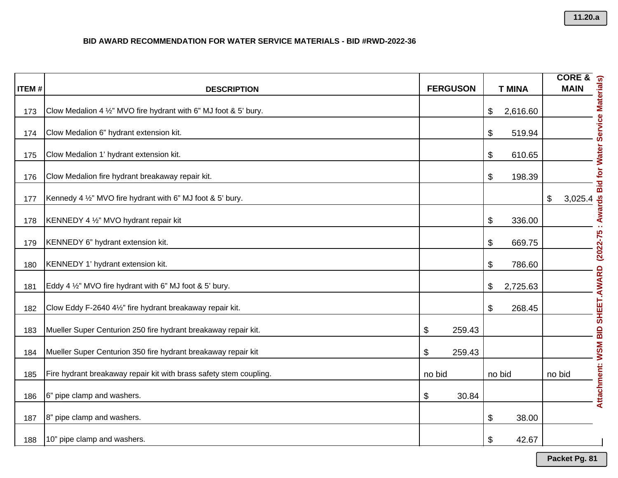| <b>ITEM#</b> | <b>DESCRIPTION</b>                                                 |        | <b>FERGUSON</b> |                           | <b>T MINA</b> |                                                                                                        |                            |
|--------------|--------------------------------------------------------------------|--------|-----------------|---------------------------|---------------|--------------------------------------------------------------------------------------------------------|----------------------------|
| 173          | Clow Medalion 4 1/2" MVO fire hydrant with 6" MJ foot & 5' bury.   |        |                 | \$                        | 2,616.60      | CORE &<br>MAIN<br>MAIN<br>CORE &<br>CORE &<br>CORE &<br>CORE &<br>CORE &<br>CORE &<br>CORE &<br>CORE & |                            |
| 174          | Clow Medalion 6" hydrant extension kit.                            |        |                 | \$                        | 519.94        |                                                                                                        |                            |
| 175          | Clow Medalion 1' hydrant extension kit.                            |        |                 | \$                        | 610.65        |                                                                                                        |                            |
| 176          | Clow Medalion fire hydrant breakaway repair kit.                   |        |                 | \$                        | 198.39        |                                                                                                        | <b>Bid for Water</b>       |
| 177          | Kennedy 4 1/2" MVO fire hydrant with 6" MJ foot & 5' bury.         |        |                 |                           |               | $\frac{1}{2}$<br>3,025.4                                                                               |                            |
| 178          | KENNEDY 4 1/2" MVO hydrant repair kit                              |        |                 | \$                        | 336.00        |                                                                                                        | <b>Awards</b>              |
| 179          | KENNEDY 6" hydrant extension kit.                                  |        |                 | \$                        | 669.75        |                                                                                                        | $(2022 - 75)$              |
| 180          | KENNEDY 1' hydrant extension kit.                                  |        |                 | \$                        | 786.60        |                                                                                                        |                            |
| 181          | Eddy 4 1/2" MVO fire hydrant with 6" MJ foot & 5' bury.            |        |                 | \$                        | 2,725.63      |                                                                                                        |                            |
| 182          | Clow Eddy F-2640 41/2" fire hydrant breakaway repair kit.          |        |                 | $\boldsymbol{\mathsf{S}}$ | 268.45        |                                                                                                        |                            |
| 183          | Mueller Super Centurion 250 fire hydrant breakaway repair kit.     | \$     | 259.43          |                           |               |                                                                                                        | <b>WSM BID SHEET.AWARD</b> |
| 184          | Mueller Super Centurion 350 fire hydrant breakaway repair kit      | \$     | 259.43          |                           |               |                                                                                                        |                            |
| 185          | Fire hydrant breakaway repair kit with brass safety stem coupling. | no bid |                 | no bid                    |               | no bid                                                                                                 |                            |
| 186          | 6" pipe clamp and washers.                                         | \$     | 30.84           |                           |               |                                                                                                        | Attachment:                |
| 187          | 8" pipe clamp and washers.                                         |        |                 | \$                        | 38.00         |                                                                                                        |                            |
| 188          | 10" pipe clamp and washers.                                        |        |                 | \$                        | 42.67         |                                                                                                        |                            |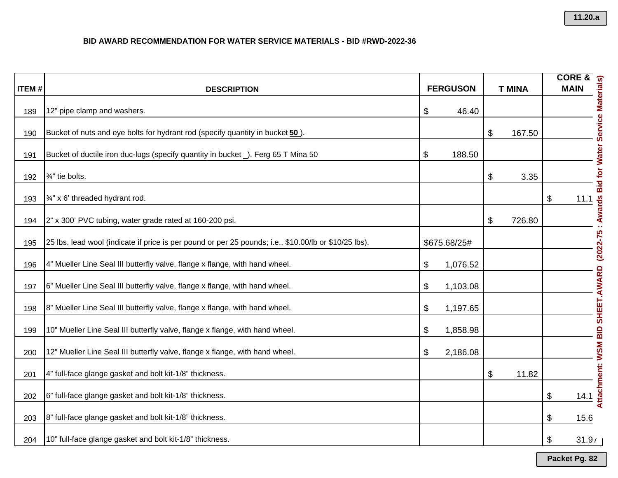| <b>ITEM#</b> | <b>DESCRIPTION</b>                                                                                    | <b>FERGUSON</b> | <b>T MINA</b> | <b>CORE &amp;</b><br><b>MAIN</b>          |
|--------------|-------------------------------------------------------------------------------------------------------|-----------------|---------------|-------------------------------------------|
|              |                                                                                                       |                 |               |                                           |
| 189          | 12" pipe clamp and washers.                                                                           | \$<br>46.40     |               |                                           |
| 190          | Bucket of nuts and eye bolts for hydrant rod (specify quantity in bucket 50).                         |                 | \$<br>167.50  |                                           |
| 191          | Bucket of ductile iron duc-lugs (specify quantity in bucket _). Ferg 65 T Mina 50                     | \$<br>188.50    |               |                                           |
| 192          | 3/ <sub>4</sub> " tie bolts.                                                                          |                 | \$<br>3.35    | : Awards Bid for Water Service Materials) |
| 193          | 3/4" x 6' threaded hydrant rod.                                                                       |                 |               | \$<br>11.1                                |
| 194          | 2" x 300' PVC tubing, water grade rated at 160-200 psi.                                               |                 | \$<br>726.80  |                                           |
| 195          | 25 lbs. lead wool (indicate if price is per pound or per 25 pounds; i.e., \$10.00/lb or \$10/25 lbs). | \$675.68/25#    |               | $(2022 - 75)$                             |
| 196          | 4" Mueller Line Seal III butterfly valve, flange x flange, with hand wheel.                           | \$<br>1,076.52  |               |                                           |
| 197          | 6" Mueller Line Seal III butterfly valve, flange x flange, with hand wheel.                           | \$<br>1,103.08  |               |                                           |
| 198          | 8" Mueller Line Seal III butterfly valve, flange x flange, with hand wheel.                           | \$<br>1,197.65  |               |                                           |
| 199          | 10" Mueller Line Seal III butterfly valve, flange x flange, with hand wheel.                          | \$<br>1,858.98  |               |                                           |
| 200          | 12" Mueller Line Seal III butterfly valve, flange x flange, with hand wheel.                          | \$<br>2,186.08  |               |                                           |
| 201          | 4" full-face glange gasket and bolt kit-1/8" thickness.                                               |                 | \$<br>11.82   | Attachment: WSM BID SHEET.AWARD           |
| 202          | 6" full-face glange gasket and bolt kit-1/8" thickness.                                               |                 |               | \$<br>14.1                                |
| 203          | 8" full-face glange gasket and bolt kit-1/8" thickness.                                               |                 |               | \$<br>15.6                                |
| 204          | 10" full-face glange gasket and bolt kit-1/8" thickness.                                              |                 |               | \$<br>31.91                               |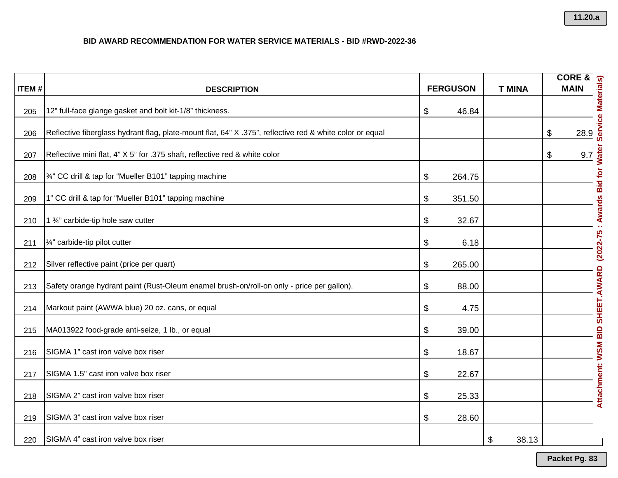|              |                                                                                                          |                 |               | <b>CORE &amp;</b> |                                          |
|--------------|----------------------------------------------------------------------------------------------------------|-----------------|---------------|-------------------|------------------------------------------|
| <b>ITEM#</b> | <b>DESCRIPTION</b>                                                                                       | <b>FERGUSON</b> | <b>T MINA</b> | <b>MAIN</b>       |                                          |
| 205          | 12" full-face glange gasket and bolt kit-1/8" thickness.                                                 | \$<br>46.84     |               |                   |                                          |
| 206          | Reflective fiberglass hydrant flag, plate-mount flat, 64" X .375", reflective red & white color or equal |                 |               | \$<br>28.9        | Service Materials)                       |
| 207          | Reflective mini flat, 4" X 5" for .375 shaft, reflective red & white color                               |                 |               | \$                | 9.7                                      |
| 208          | 3/4" CC drill & tap for "Mueller B101" tapping machine                                                   | \$<br>264.75    |               |                   | : Awards Bid for Water                   |
| 209          | 1" CC drill & tap for "Mueller B101" tapping machine                                                     | \$<br>351.50    |               |                   |                                          |
| 210          | 1 3/4" carbide-tip hole saw cutter                                                                       | \$<br>32.67     |               |                   |                                          |
| 211          | 1/4" carbide-tip pilot cutter                                                                            | \$<br>6.18      |               |                   | Attachment: WSM BID SHEET.AWARD (2022-75 |
| 212          | Silver reflective paint (price per quart)                                                                | \$<br>265.00    |               |                   |                                          |
| 213          | Safety orange hydrant paint (Rust-Oleum enamel brush-on/roll-on only - price per gallon).                | \$<br>88.00     |               |                   |                                          |
| 214          | Markout paint (AWWA blue) 20 oz. cans, or equal                                                          | \$<br>4.75      |               |                   |                                          |
| 215          | MA013922 food-grade anti-seize, 1 lb., or equal                                                          | \$<br>39.00     |               |                   |                                          |
| 216          | SIGMA 1" cast iron valve box riser                                                                       | \$<br>18.67     |               |                   |                                          |
| 217          | SIGMA 1.5" cast iron valve box riser                                                                     | \$<br>22.67     |               |                   |                                          |
| 218          | SIGMA 2" cast iron valve box riser                                                                       | \$<br>25.33     |               |                   |                                          |
| 219          | SIGMA 3" cast iron valve box riser                                                                       | \$<br>28.60     |               |                   |                                          |
| 220          | SIGMA 4" cast iron valve box riser                                                                       |                 | \$<br>38.13   |                   |                                          |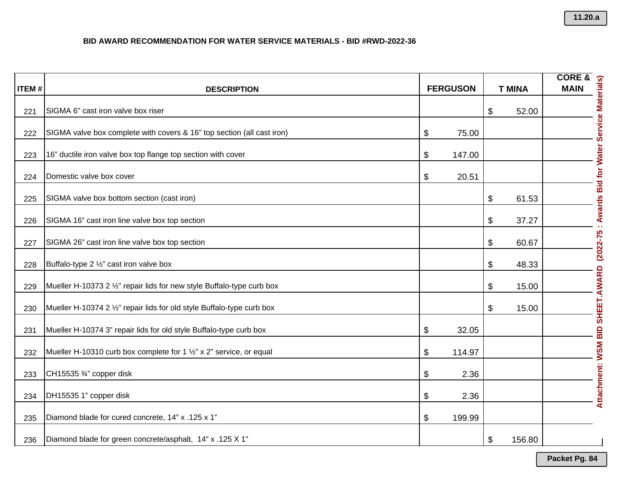| <b>ITEM#</b> | <b>DESCRIPTION</b>                                                     | <b>FERGUSON</b> |        |                       |        |                                 |  |  |  |  |  |  |  |  |  |  |  |  |  |  |  |  |  |  |  |  |  |  |  |  |  |  |  |  |  |  |  |  | <b>T MINA</b> |  |
|--------------|------------------------------------------------------------------------|-----------------|--------|-----------------------|--------|---------------------------------|--|--|--|--|--|--|--|--|--|--|--|--|--|--|--|--|--|--|--|--|--|--|--|--|--|--|--|--|--|--|--|--|---------------|--|
| 221          | SIGMA 6" cast iron valve box riser                                     |                 |        | \$                    | 52.00  |                                 |  |  |  |  |  |  |  |  |  |  |  |  |  |  |  |  |  |  |  |  |  |  |  |  |  |  |  |  |  |  |  |  |               |  |
| 222          | SIGMA valve box complete with covers & 16" top section (all cast iron) | \$              | 75.00  |                       |        |                                 |  |  |  |  |  |  |  |  |  |  |  |  |  |  |  |  |  |  |  |  |  |  |  |  |  |  |  |  |  |  |  |  |               |  |
| 223          | 16" ductile iron valve box top flange top section with cover           | \$              | 147.00 |                       |        |                                 |  |  |  |  |  |  |  |  |  |  |  |  |  |  |  |  |  |  |  |  |  |  |  |  |  |  |  |  |  |  |  |  |               |  |
| 224          | Domestic valve box cover                                               | \$              | 20.51  |                       |        | Awards Bid for Water            |  |  |  |  |  |  |  |  |  |  |  |  |  |  |  |  |  |  |  |  |  |  |  |  |  |  |  |  |  |  |  |  |               |  |
| 225          | SIGMA valve box bottom section (cast iron)                             |                 |        | \$                    | 61.53  |                                 |  |  |  |  |  |  |  |  |  |  |  |  |  |  |  |  |  |  |  |  |  |  |  |  |  |  |  |  |  |  |  |  |               |  |
| 226          | SIGMA 16" cast iron line valve box top section                         |                 |        | \$                    | 37.27  | ×,                              |  |  |  |  |  |  |  |  |  |  |  |  |  |  |  |  |  |  |  |  |  |  |  |  |  |  |  |  |  |  |  |  |               |  |
| 227          | SIGMA 26" cast iron line valve box top section                         |                 |        | \$                    | 60.67  | $(2022 - 75)$                   |  |  |  |  |  |  |  |  |  |  |  |  |  |  |  |  |  |  |  |  |  |  |  |  |  |  |  |  |  |  |  |  |               |  |
| 228          | Buffalo-type 2 1/2" cast iron valve box                                |                 |        | \$                    | 48.33  |                                 |  |  |  |  |  |  |  |  |  |  |  |  |  |  |  |  |  |  |  |  |  |  |  |  |  |  |  |  |  |  |  |  |               |  |
| 229          | Mueller H-10373 2 1/2" repair lids for new style Buffalo-type curb box |                 |        | $\boldsymbol{\theta}$ | 15.00  |                                 |  |  |  |  |  |  |  |  |  |  |  |  |  |  |  |  |  |  |  |  |  |  |  |  |  |  |  |  |  |  |  |  |               |  |
| 230          | Mueller H-10374 2 1/2" repair lids for old style Buffalo-type curb box |                 |        | \$                    | 15.00  | Attachment: WSM BID SHEET.AWARD |  |  |  |  |  |  |  |  |  |  |  |  |  |  |  |  |  |  |  |  |  |  |  |  |  |  |  |  |  |  |  |  |               |  |
| 231          | Mueller H-10374 3" repair lids for old style Buffalo-type curb box     | \$              | 32.05  |                       |        |                                 |  |  |  |  |  |  |  |  |  |  |  |  |  |  |  |  |  |  |  |  |  |  |  |  |  |  |  |  |  |  |  |  |               |  |
| 232          | Mueller H-10310 curb box complete for 1 1/2" x 2" service, or equal    | \$              | 114.97 |                       |        |                                 |  |  |  |  |  |  |  |  |  |  |  |  |  |  |  |  |  |  |  |  |  |  |  |  |  |  |  |  |  |  |  |  |               |  |
| 233          | CH15535 3/4" copper disk                                               | \$              | 2.36   |                       |        |                                 |  |  |  |  |  |  |  |  |  |  |  |  |  |  |  |  |  |  |  |  |  |  |  |  |  |  |  |  |  |  |  |  |               |  |
| 234          | DH15535 1" copper disk                                                 | \$              | 2.36   |                       |        |                                 |  |  |  |  |  |  |  |  |  |  |  |  |  |  |  |  |  |  |  |  |  |  |  |  |  |  |  |  |  |  |  |  |               |  |
| 235          | Diamond blade for cured concrete, 14" x .125 x 1"                      | \$              | 199.99 |                       |        |                                 |  |  |  |  |  |  |  |  |  |  |  |  |  |  |  |  |  |  |  |  |  |  |  |  |  |  |  |  |  |  |  |  |               |  |
| 236          | Diamond blade for green concrete/asphalt, 14" x .125 X 1"              |                 |        | \$                    | 156.80 |                                 |  |  |  |  |  |  |  |  |  |  |  |  |  |  |  |  |  |  |  |  |  |  |  |  |  |  |  |  |  |  |  |  |               |  |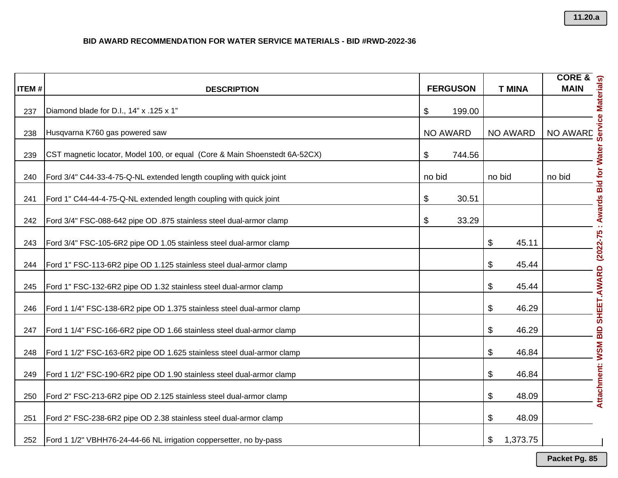| <b>ITEM#</b> |                                                                            |        | <b>FERGUSON</b> |                 | $CORE & \frac{1}{2}$                          |
|--------------|----------------------------------------------------------------------------|--------|-----------------|-----------------|-----------------------------------------------|
|              | <b>DESCRIPTION</b>                                                         |        |                 | <b>T MINA</b>   |                                               |
| 237          | Diamond blade for D.I., 14" x .125 x 1"                                    | \$     | 199.00          |                 |                                               |
| 238          | Husqvarna K760 gas powered saw                                             |        | <b>NO AWARD</b> | <b>NO AWARD</b> | MAIN<br>MAIN<br>MAIN<br>END AWARD<br>NO AWARD |
| 239          | CST magnetic locator, Model 100, or equal (Core & Main Shoenstedt 6A-52CX) | \$     | 744.56          |                 |                                               |
| 240          | Ford 3/4" C44-33-4-75-Q-NL extended length coupling with quick joint       | no bid |                 | no bid          | no bid                                        |
| 241          | Ford 1" C44-44-4-75-Q-NL extended length coupling with quick joint         | \$     | 30.51           |                 | Awards Bid for Water                          |
| 242          | Ford 3/4" FSC-088-642 pipe OD .875 stainless steel dual-armor clamp        | \$     | 33.29           |                 |                                               |
| 243          | Ford 3/4" FSC-105-6R2 pipe OD 1.05 stainless steel dual-armor clamp        |        |                 | \$<br>45.11     | $(2022 - 75)$                                 |
| 244          | Ford 1" FSC-113-6R2 pipe OD 1.125 stainless steel dual-armor clamp         |        |                 | \$<br>45.44     |                                               |
| 245          | Ford 1" FSC-132-6R2 pipe OD 1.32 stainless steel dual-armor clamp          |        |                 | \$<br>45.44     |                                               |
| 246          | Ford 1 1/4" FSC-138-6R2 pipe OD 1.375 stainless steel dual-armor clamp     |        |                 | \$<br>46.29     |                                               |
| 247          | Ford 1 1/4" FSC-166-6R2 pipe OD 1.66 stainless steel dual-armor clamp      |        |                 | \$<br>46.29     | <b>WSM BID SHEET.AWARD</b>                    |
| 248          | Ford 1 1/2" FSC-163-6R2 pipe OD 1.625 stainless steel dual-armor clamp     |        |                 | \$<br>46.84     |                                               |
| 249          | Ford 1 1/2" FSC-190-6R2 pipe OD 1.90 stainless steel dual-armor clamp      |        |                 | \$<br>46.84     |                                               |
| 250          | Ford 2" FSC-213-6R2 pipe OD 2.125 stainless steel dual-armor clamp         |        |                 | \$<br>48.09     | Attachment:                                   |
| 251          | Ford 2" FSC-238-6R2 pipe OD 2.38 stainless steel dual-armor clamp          |        |                 | \$<br>48.09     |                                               |
| 252          | Ford 1 1/2" VBHH76-24-44-66 NL irrigation coppersetter, no by-pass         |        |                 | \$<br>1,373.75  |                                               |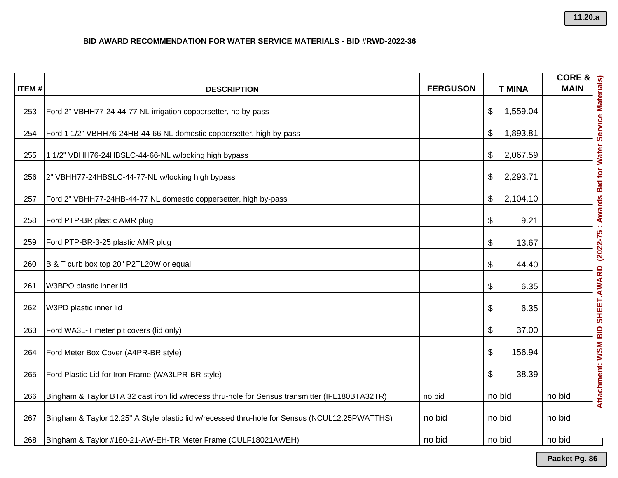| <b>ITEM#</b> | <b>DESCRIPTION</b>                                                                              | <b>FERGUSON</b> | <b>T MINA</b>  |                                           |
|--------------|-------------------------------------------------------------------------------------------------|-----------------|----------------|-------------------------------------------|
| 253          | Ford 2" VBHH77-24-44-77 NL irrigation coppersetter, no by-pass                                  |                 | \$<br>1,559.04 |                                           |
| 254          | Ford 1 1/2" VBHH76-24HB-44-66 NL domestic coppersetter, high by-pass                            |                 | \$<br>1,893.81 |                                           |
| 255          | 1 1/2" VBHH76-24HBSLC-44-66-NL w/locking high bypass                                            |                 | \$<br>2,067.59 |                                           |
| 256          | 2" VBHH77-24HBSLC-44-77-NL w/locking high bypass                                                |                 | \$<br>2,293.71 |                                           |
| 257          | Ford 2" VBHH77-24HB-44-77 NL domestic coppersetter, high by-pass                                |                 | \$<br>2,104.10 |                                           |
| 258          | Ford PTP-BR plastic AMR plug                                                                    |                 | \$<br>9.21     |                                           |
| 259          | Ford PTP-BR-3-25 plastic AMR plug                                                               |                 | \$<br>13.67    | $(2022 - 75)$                             |
| 260          | B & T curb box top 20" P2TL20W or equal                                                         |                 | \$<br>44.40    |                                           |
| 261          | W3BPO plastic inner lid                                                                         |                 | \$<br>6.35     |                                           |
| 262          | W3PD plastic inner lid                                                                          |                 | \$<br>6.35     |                                           |
| 263          | Ford WA3L-T meter pit covers (lid only)                                                         |                 | \$<br>37.00    |                                           |
| 264          | Ford Meter Box Cover (A4PR-BR style)                                                            |                 | \$<br>156.94   |                                           |
| 265          | Ford Plastic Lid for Iron Frame (WA3LPR-BR style)                                               |                 | \$<br>38.39    |                                           |
| 266          | Bingham & Taylor BTA 32 cast iron lid w/recess thru-hole for Sensus transmitter (IFL180BTA32TR) | no bid          | no bid         | Attachment: WSM BID SHEET.AWARD<br>no bid |
| 267          | Bingham & Taylor 12.25" A Style plastic lid w/recessed thru-hole for Sensus (NCUL12.25PWATTHS)  | no bid          | no bid         | no bid                                    |
| 268          | Bingham & Taylor #180-21-AW-EH-TR Meter Frame (CULF18021AWEH)                                   | no bid          | no bid         | no bid                                    |